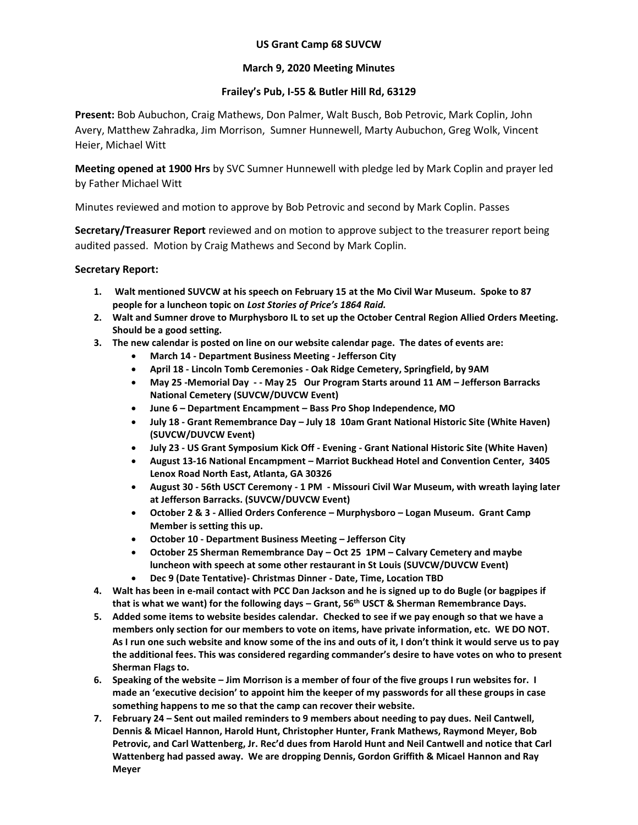## **US Grant Camp 68 SUVCW**

## **March 9, 2020 Meeting Minutes**

## **Frailey's Pub, I-55 & Butler Hill Rd, 63129**

**Present:** Bob Aubuchon, Craig Mathews, Don Palmer, Walt Busch, Bob Petrovic, Mark Coplin, John Avery, Matthew Zahradka, Jim Morrison, Sumner Hunnewell, Marty Aubuchon, Greg Wolk, Vincent Heier, Michael Witt

**Meeting opened at 1900 Hrs** by SVC Sumner Hunnewell with pledge led by Mark Coplin and prayer led by Father Michael Witt

Minutes reviewed and motion to approve by Bob Petrovic and second by Mark Coplin. Passes

**Secretary/Treasurer Report** reviewed and on motion to approve subject to the treasurer report being audited passed. Motion by Craig Mathews and Second by Mark Coplin.

## **Secretary Report:**

- **1. Walt mentioned SUVCW at his speech on February 15 at the Mo Civil War Museum. Spoke to 87 people for a luncheon topic on** *Lost Stories of Price's 1864 Raid.*
- **2. Walt and Sumner drove to Murphysboro IL to set up the October Central Region Allied Orders Meeting. Should be a good setting.**
- **3. The new calendar is posted on line on our website calendar page. The dates of events are:**
	- **March 14 - Department Business Meeting - Jefferson City**
	- **April 18 - Lincoln Tomb Ceremonies - Oak Ridge Cemetery, Springfield, by 9AM**
	- **May 25 -Memorial Day - - May 25 Our Program Starts around 11 AM – Jefferson Barracks National Cemetery (SUVCW/DUVCW Event)**
	- **June 6 – Department Encampment – Bass Pro Shop Independence, MO**
	- **July 18 - Grant Remembrance Day – July 18 10am Grant National Historic Site (White Haven) (SUVCW/DUVCW Event)**
	- **July 23 - US Grant Symposium Kick Off - Evening - Grant National Historic Site (White Haven)**
	- **August 13-16 National Encampment – Marriot Buckhead Hotel and Convention Center, 3405 Lenox Road North East, Atlanta, GA 30326**
	- **August 30 - 56th USCT Ceremony - 1 PM - Missouri Civil War Museum, with wreath laying later at Jefferson Barracks. (SUVCW/DUVCW Event)**
	- **October 2 & 3 - Allied Orders Conference – Murphysboro – Logan Museum. Grant Camp Member is setting this up.**
	- **October 10 - Department Business Meeting – Jefferson City**
	- **October 25 Sherman Remembrance Day – Oct 25 1PM – Calvary Cemetery and maybe luncheon with speech at some other restaurant in St Louis (SUVCW/DUVCW Event)**
	- **Dec 9 (Date Tentative)- Christmas Dinner - Date, Time, Location TBD**
- **4. Walt has been in e-mail contact with PCC Dan Jackson and he is signed up to do Bugle (or bagpipes if that is what we want) for the following days – Grant, 56th USCT & Sherman Remembrance Days.**
- **5. Added some items to website besides calendar. Checked to see if we pay enough so that we have a members only section for our members to vote on items, have private information, etc. WE DO NOT. As I run one such website and know some of the ins and outs of it, I don't think it would serve us to pay the additional fees. This was considered regarding commander's desire to have votes on who to present Sherman Flags to.**
- **6. Speaking of the website – Jim Morrison is a member of four of the five groups I run websites for. I made an 'executive decision' to appoint him the keeper of my passwords for all these groups in case something happens to me so that the camp can recover their website.**
- **7. February 24 – Sent out mailed reminders to 9 members about needing to pay dues. Neil Cantwell, Dennis & Micael Hannon, Harold Hunt, Christopher Hunter, Frank Mathews, Raymond Meyer, Bob Petrovic, and Carl Wattenberg, Jr. Rec'd dues from Harold Hunt and Neil Cantwell and notice that Carl Wattenberg had passed away. We are dropping Dennis, Gordon Griffith & Micael Hannon and Ray Meyer**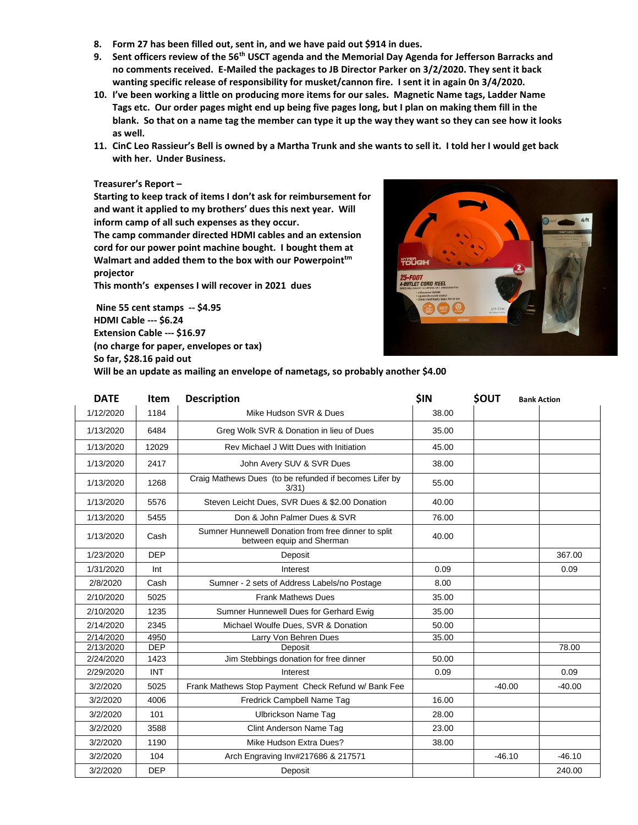- **8. Form 27 has been filled out, sent in, and we have paid out \$914 in dues.**
- **9. Sent officers review of the 56th USCT agenda and the Memorial Day Agenda for Jefferson Barracks and no comments received. E-Mailed the packages to JB Director Parker on 3/2/2020. They sent it back wanting specific release of responsibility for musket/cannon fire. I sent it in again 0n 3/4/2020.**
- **10. I've been working a little on producing more items for our sales. Magnetic Name tags, Ladder Name Tags etc. Our order pages might end up being five pages long, but I plan on making them fill in the blank. So that on a name tag the member can type it up the way they want so they can see how it looks as well.**
- **11. CinC Leo Rassieur's Bell is owned by a Martha Trunk and she wants to sell it. I told her I would get back with her. Under Business.**

#### **Treasurer's Report –**

**Starting to keep track of items I don't ask for reimbursement for and want it applied to my brothers' dues this next year. Will inform camp of all such expenses as they occur.**

**The camp commander directed HDMI cables and an extension cord for our power point machine bought. I bought them at Walmart and added them to the box with our Powerpointtm projector**

**This month's expenses I will recover in 2021 dues**

**Nine 55 cent stamps -- \$4.95 HDMI Cable --- \$6.24 Extension Cable --- \$16.97 (no charge for paper, envelopes or tax) So far, \$28.16 paid out Will be an update as mailing an envelope of nametags, so probably another \$4.00**



| <b>DATE</b> | Item       | <b>Description</b>                                                               | \$IN  | <b>SOUT</b> | <b>Bank Action</b> |
|-------------|------------|----------------------------------------------------------------------------------|-------|-------------|--------------------|
| 1/12/2020   | 1184       | Mike Hudson SVR & Dues                                                           | 38.00 |             |                    |
| 1/13/2020   | 6484       | Greg Wolk SVR & Donation in lieu of Dues                                         | 35.00 |             |                    |
| 1/13/2020   | 12029      | Rev Michael J Witt Dues with Initiation                                          | 45.00 |             |                    |
| 1/13/2020   | 2417       | John Avery SUV & SVR Dues                                                        | 38.00 |             |                    |
| 1/13/2020   | 1268       | Craig Mathews Dues (to be refunded if becomes Lifer by<br>3/31)                  | 55.00 |             |                    |
| 1/13/2020   | 5576       | Steven Leicht Dues, SVR Dues & \$2.00 Donation                                   | 40.00 |             |                    |
| 1/13/2020   | 5455       | Don & John Palmer Dues & SVR                                                     | 76.00 |             |                    |
| 1/13/2020   | Cash       | Sumner Hunnewell Donation from free dinner to split<br>between equip and Sherman | 40.00 |             |                    |
| 1/23/2020   | <b>DEP</b> | Deposit                                                                          |       |             | 367.00             |
| 1/31/2020   | Int        | Interest                                                                         | 0.09  |             | 0.09               |
| 2/8/2020    | Cash       | Sumner - 2 sets of Address Labels/no Postage                                     | 8.00  |             |                    |
| 2/10/2020   | 5025       | <b>Frank Mathews Dues</b>                                                        | 35.00 |             |                    |
| 2/10/2020   | 1235       | Sumner Hunnewell Dues for Gerhard Ewig                                           | 35.00 |             |                    |
| 2/14/2020   | 2345       | Michael Woulfe Dues, SVR & Donation                                              | 50.00 |             |                    |
| 2/14/2020   | 4950       | Larry Von Behren Dues                                                            | 35.00 |             |                    |
| 2/13/2020   | <b>DEP</b> | Deposit                                                                          |       |             | 78.00              |
| 2/24/2020   | 1423       | Jim Stebbings donation for free dinner                                           | 50.00 |             |                    |
| 2/29/2020   | <b>INT</b> | Interest                                                                         | 0.09  |             | 0.09               |
| 3/2/2020    | 5025       | Frank Mathews Stop Payment Check Refund w/ Bank Fee                              |       | $-40.00$    | $-40.00$           |
| 3/2/2020    | 4006       | Fredrick Campbell Name Tag                                                       | 16.00 |             |                    |
| 3/2/2020    | 101        | <b>Ulbrickson Name Tag</b>                                                       | 28.00 |             |                    |
| 3/2/2020    | 3588       | Clint Anderson Name Tag                                                          | 23.00 |             |                    |
| 3/2/2020    | 1190       | Mike Hudson Extra Dues?                                                          | 38.00 |             |                    |
| 3/2/2020    | 104        | Arch Engraving Inv#217686 & 217571                                               |       | $-46.10$    | $-46.10$           |
| 3/2/2020    | <b>DEP</b> | Deposit                                                                          |       |             | 240.00             |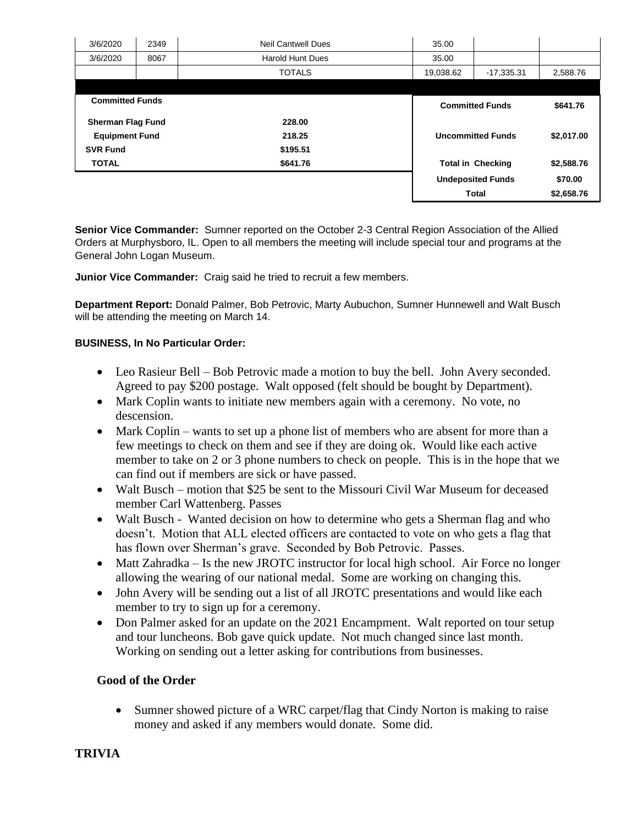| 3/6/2020                 | 2349 | <b>Neil Cantwell Dues</b> | 35.00     |                                        |            |
|--------------------------|------|---------------------------|-----------|----------------------------------------|------------|
| 3/6/2020                 | 8067 | <b>Harold Hunt Dues</b>   | 35.00     |                                        |            |
|                          |      | <b>TOTALS</b>             | 19,038.62 | $-17,335.31$                           | 2,588.76   |
|                          |      |                           |           |                                        |            |
| <b>Committed Funds</b>   |      |                           |           | <b>Committed Funds</b>                 |            |
| <b>Sherman Flag Fund</b> |      | 228.00                    |           |                                        |            |
| <b>Equipment Fund</b>    |      | 218.25                    |           | \$2,017.00<br><b>Uncommitted Funds</b> |            |
| <b>SVR Fund</b>          |      | \$195.51                  |           |                                        |            |
| <b>TOTAL</b>             |      | \$641.76                  |           | <b>Total in Checking</b>               |            |
|                          |      |                           |           | <b>Undeposited Funds</b>               | \$70.00    |
|                          |      |                           |           | <b>Total</b>                           | \$2,658.76 |

**Senior Vice Commander:** Sumner reported on the October 2-3 Central Region Association of the Allied Orders at Murphysboro, IL. Open to all members the meeting will include special tour and programs at the General John Logan Museum.

**Junior Vice Commander:** Craig said he tried to recruit a few members.

**Department Report:** Donald Palmer, Bob Petrovic, Marty Aubuchon, Sumner Hunnewell and Walt Busch will be attending the meeting on March 14.

### **BUSINESS, In No Particular Order:**

- Leo Rasieur Bell Bob Petrovic made a motion to buy the bell. John Avery seconded. Agreed to pay \$200 postage. Walt opposed (felt should be bought by Department).
- Mark Coplin wants to initiate new members again with a ceremony. No vote, no descension.
- Mark Coplin wants to set up a phone list of members who are absent for more than a few meetings to check on them and see if they are doing ok. Would like each active member to take on 2 or 3 phone numbers to check on people. This is in the hope that we can find out if members are sick or have passed.
- Walt Busch motion that \$25 be sent to the Missouri Civil War Museum for deceased member Carl Wattenberg. Passes
- Walt Busch Wanted decision on how to determine who gets a Sherman flag and who doesn't. Motion that ALL elected officers are contacted to vote on who gets a flag that has flown over Sherman's grave. Seconded by Bob Petrovic. Passes.
- Matt Zahradka Is the new JROTC instructor for local high school. Air Force no longer allowing the wearing of our national medal. Some are working on changing this.
- John Avery will be sending out a list of all JROTC presentations and would like each member to try to sign up for a ceremony.
- Don Palmer asked for an update on the 2021 Encampment. Walt reported on tour setup and tour luncheons. Bob gave quick update. Not much changed since last month. Working on sending out a letter asking for contributions from businesses.

## **Good of the Order**

• Sumner showed picture of a WRC carpet/flag that Cindy Norton is making to raise money and asked if any members would donate. Some did.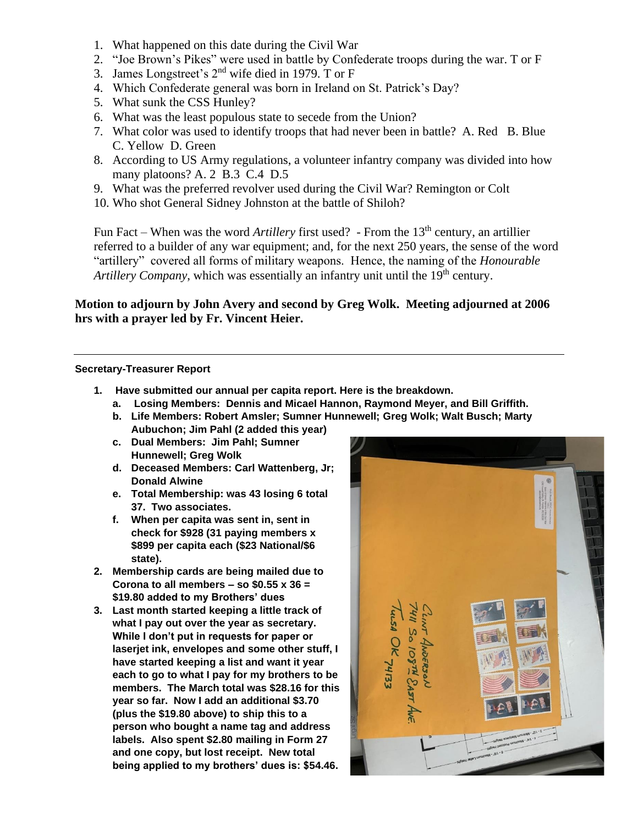- 1. What happened on this date during the Civil War
- 2. "Joe Brown's Pikes" were used in battle by Confederate troops during the war. T or F
- 3. James Longstreet's 2nd wife died in 1979. T or F
- 4. Which Confederate general was born in Ireland on St. Patrick's Day?
- 5. What sunk the CSS Hunley?
- 6. What was the least populous state to secede from the Union?
- 7. What color was used to identify troops that had never been in battle? A. Red B. Blue C. Yellow D. Green
- 8. According to US Army regulations, a volunteer infantry company was divided into how many platoons? A. 2 B.3 C.4 D.5
- 9. What was the preferred revolver used during the Civil War? Remington or Colt
- 10. Who shot General Sidney Johnston at the battle of Shiloh?

Fun Fact – When was the word *Artillery* first used? - From the 13<sup>th</sup> century, an artillier referred to a builder of any war equipment; and, for the next 250 years, the sense of the word "artillery" covered all forms of military weapons. Hence, the naming of the *Honourable Artillery Company*, which was essentially an infantry unit until the 19<sup>th</sup> century.

# **Motion to adjourn by John Avery and second by Greg Wolk. Meeting adjourned at 2006 hrs with a prayer led by Fr. Vincent Heier.**

### **Secretary-Treasurer Report**

- **1. Have submitted our annual per capita report. Here is the breakdown.**
	- **a. Losing Members: Dennis and Micael Hannon, Raymond Meyer, and Bill Griffith.**
	- **b. Life Members: Robert Amsler; Sumner Hunnewell; Greg Wolk; Walt Busch; Marty Aubuchon; Jim Pahl (2 added this year)**
	- **c. Dual Members: Jim Pahl; Sumner Hunnewell; Greg Wolk**
	- **d. Deceased Members: Carl Wattenberg, Jr; Donald Alwine**
	- **e. Total Membership: was 43 losing 6 total 37. Two associates.**
	- **f. When per capita was sent in, sent in check for \$928 (31 paying members x \$899 per capita each (\$23 National/\$6 state).**
- **2. Membership cards are being mailed due to Corona to all members – so \$0.55 x 36 = \$19.80 added to my Brothers' dues**
- **3. Last month started keeping a little track of what I pay out over the year as secretary. While I don't put in requests for paper or laserjet ink, envelopes and some other stuff, I have started keeping a list and want it year each to go to what I pay for my brothers to be members. The March total was \$28.16 for this year so far. Now I add an additional \$3.70 (plus the \$19.80 above) to ship this to a person who bought a name tag and address labels. Also spent \$2.80 mailing in Form 27 and one copy, but lost receipt. New total being applied to my brothers' dues is: \$54.46.**

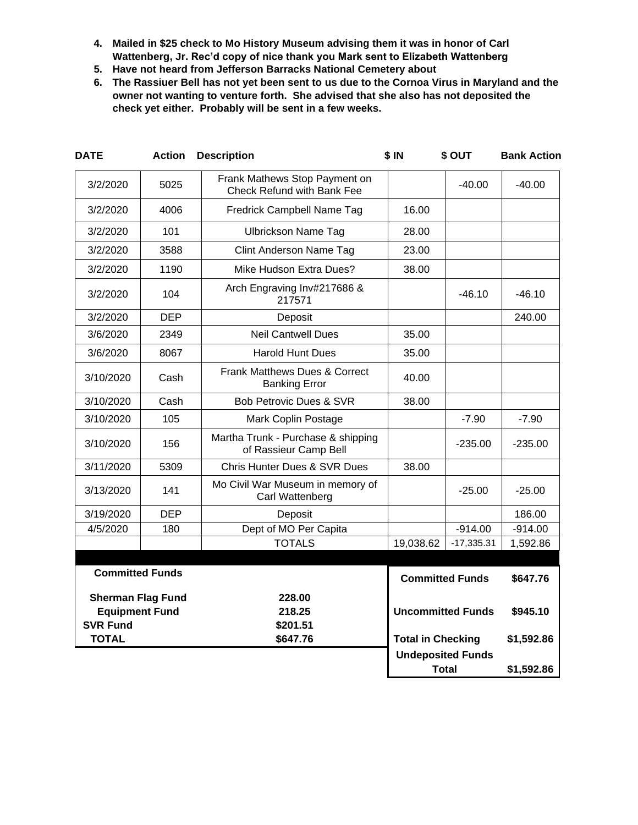- **4. Mailed in \$25 check to Mo History Museum advising them it was in honor of Carl Wattenberg, Jr. Rec'd copy of nice thank you Mark sent to Elizabeth Wattenberg**
- **5. Have not heard from Jefferson Barracks National Cemetery about**
- **6. The Rassiuer Bell has not yet been sent to us due to the Cornoa Virus in Maryland and the owner not wanting to venture forth. She advised that she also has not deposited the check yet either. Probably will be sent in a few weeks.**

| <b>DATE</b>              | <b>Action</b> | <b>Description</b>                                                 | \$IN                     | \$ OUT                                   | <b>Bank Action</b> |
|--------------------------|---------------|--------------------------------------------------------------------|--------------------------|------------------------------------------|--------------------|
| 3/2/2020                 | 5025          | Frank Mathews Stop Payment on<br><b>Check Refund with Bank Fee</b> |                          | -40.00                                   | -40.00             |
| 3/2/2020                 | 4006          | Fredrick Campbell Name Tag                                         | 16.00                    |                                          |                    |
| 3/2/2020                 | 101           | <b>Ulbrickson Name Tag</b>                                         | 28.00                    |                                          |                    |
| 3/2/2020                 | 3588          | <b>Clint Anderson Name Tag</b>                                     | 23.00                    |                                          |                    |
| 3/2/2020                 | 1190          | Mike Hudson Extra Dues?                                            | 38.00                    |                                          |                    |
| 3/2/2020                 | 104           | Arch Engraving Inv#217686 &<br>217571                              |                          | $-46.10$                                 | $-46.10$           |
| 3/2/2020                 | <b>DEP</b>    | Deposit                                                            |                          |                                          | 240.00             |
| 3/6/2020                 | 2349          | <b>Neil Cantwell Dues</b>                                          | 35.00                    |                                          |                    |
| 3/6/2020                 | 8067          | <b>Harold Hunt Dues</b>                                            | 35.00                    |                                          |                    |
| 3/10/2020                | Cash          | <b>Frank Matthews Dues &amp; Correct</b><br><b>Banking Error</b>   | 40.00                    |                                          |                    |
| 3/10/2020                | Cash          | <b>Bob Petrovic Dues &amp; SVR</b>                                 | 38.00                    |                                          |                    |
| 3/10/2020                | 105           | Mark Coplin Postage                                                |                          | $-7.90$                                  | $-7.90$            |
| 3/10/2020                | 156           | Martha Trunk - Purchase & shipping<br>of Rassieur Camp Bell        |                          | $-235.00$                                | $-235.00$          |
| 3/11/2020                | 5309          | <b>Chris Hunter Dues &amp; SVR Dues</b>                            | 38.00                    |                                          |                    |
| 3/13/2020                | 141           | Mo Civil War Museum in memory of<br>Carl Wattenberg                |                          | $-25.00$                                 | $-25.00$           |
| 3/19/2020                | <b>DEP</b>    | Deposit                                                            |                          |                                          | 186.00             |
| 4/5/2020                 | 180           | Dept of MO Per Capita                                              |                          | $-914.00$                                | $-914.00$          |
|                          |               | <b>TOTALS</b>                                                      | 19,038.62                | $-17,335.31$                             | 1,592.86           |
|                          |               |                                                                    |                          |                                          |                    |
| <b>Committed Funds</b>   |               |                                                                    |                          | <b>Committed Funds</b><br>\$647.76       |                    |
| <b>Sherman Flag Fund</b> |               | 228.00                                                             |                          |                                          |                    |
| <b>Equipment Fund</b>    |               | 218.25                                                             |                          | <b>Uncommitted Funds</b>                 | \$945.10           |
| <b>SVR Fund</b>          |               | \$201.51                                                           |                          |                                          |                    |
| <b>TOTAL</b>             |               | \$647.76                                                           | <b>Total in Checking</b> |                                          | \$1,592.86         |
|                          |               |                                                                    |                          | <b>Undeposited Funds</b><br><b>Total</b> |                    |
|                          |               |                                                                    |                          |                                          | \$1,592.86         |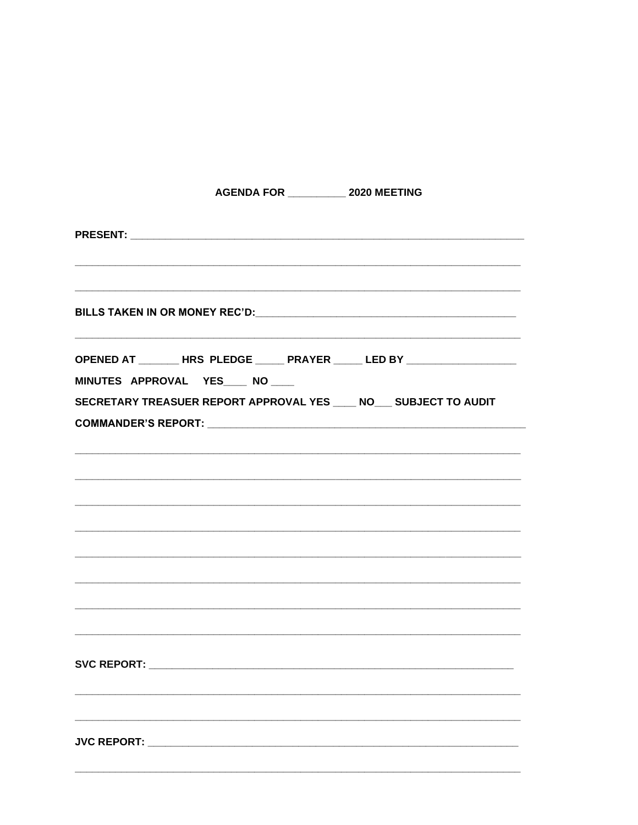| AGENDA FOR ____________ 2020 MEETING                               |                                                                             |
|--------------------------------------------------------------------|-----------------------------------------------------------------------------|
|                                                                    |                                                                             |
|                                                                    |                                                                             |
| MINUTES APPROVAL YES ___ NO ___                                    | OPENED AT ________ HRS PLEDGE _____ PRAYER _____ LED BY ___________________ |
| SECRETARY TREASUER REPORT APPROVAL YES ____ NO___ SUBJECT TO AUDIT |                                                                             |
|                                                                    |                                                                             |
|                                                                    |                                                                             |
|                                                                    |                                                                             |
|                                                                    |                                                                             |
|                                                                    |                                                                             |
|                                                                    |                                                                             |
|                                                                    |                                                                             |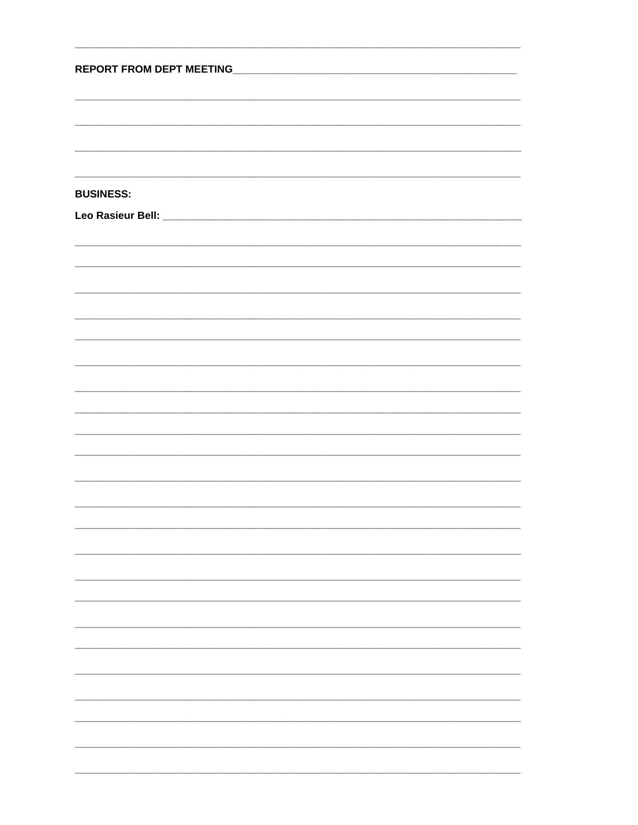| <b>REPORT FROM DEPT MEETING</b> |  |  |  |  |
|---------------------------------|--|--|--|--|
|                                 |  |  |  |  |
|                                 |  |  |  |  |
|                                 |  |  |  |  |
|                                 |  |  |  |  |
| <b>BUSINESS:</b>                |  |  |  |  |
|                                 |  |  |  |  |
|                                 |  |  |  |  |
|                                 |  |  |  |  |
|                                 |  |  |  |  |
|                                 |  |  |  |  |
|                                 |  |  |  |  |
|                                 |  |  |  |  |
|                                 |  |  |  |  |
|                                 |  |  |  |  |
|                                 |  |  |  |  |
|                                 |  |  |  |  |
|                                 |  |  |  |  |
|                                 |  |  |  |  |
|                                 |  |  |  |  |
|                                 |  |  |  |  |
|                                 |  |  |  |  |
|                                 |  |  |  |  |
|                                 |  |  |  |  |
|                                 |  |  |  |  |
|                                 |  |  |  |  |
|                                 |  |  |  |  |
|                                 |  |  |  |  |
|                                 |  |  |  |  |
|                                 |  |  |  |  |
|                                 |  |  |  |  |